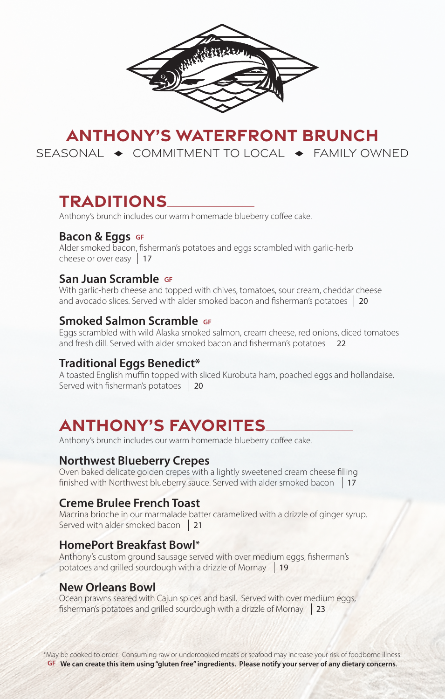

# **ANTHONY'S WATERFRONT BRUNCH**  SEASONAL  $\rightarrow$  COMMITMENT TO LOCAL  $\rightarrow$  FAMILY OWNED

# **TRADITIONS**

Anthony's brunch includes our warm homemade blueberry coffee cake.

### **Bacon & Eggs** GF

Alder smoked bacon, fisherman's potatoes and eggs scrambled with garlic-herb cheese or over easy 17

### **San Juan Scramble GF**

With garlic-herb cheese and topped with chives, tomatoes, sour cream, cheddar cheese and avocado slices. Served with alder smoked bacon and fisherman's potatoes 20

### **Smoked Salmon Scramble GF**

Eggs scrambled with wild Alaska smoked salmon, cream cheese, red onions, diced tomatoes and fresh dill. Served with alder smoked bacon and fisherman's potatoes 22

### **Traditional Eggs Benedict\***

A toasted English muffin topped with sliced Kurobuta ham, poached eggs and hollandaise. Served with fisherman's potatoes 20

# **ANTHONY'S FAVORITES**

Anthony's brunch includes our warm homemade blueberry coffee cake.

## **Northwest Blueberry Crepes**

Oven baked delicate golden crepes with a lightly sweetened cream cheese filling finished with Northwest blueberry sauce. Served with alder smoked bacon 17

## **Creme Brulee French Toast**

Macrina brioche in our marmalade batter caramelized with a drizzle of ginger syrup. Served with alder smoked bacon 21

### **HomePort Breakfast Bowl\***

Anthony's custom ground sausage served with over medium eggs, fisherman's potatoes and grilled sourdough with a drizzle of Mornay 19

### **New Orleans Bowl**

Ocean prawns seared with Cajun spices and basil. Served with over medium eggs, fisherman's potatoes and grilled sourdough with a drizzle of Mornay 23

\*May be cooked to order. Consuming raw or undercooked meats or seafood may increase your risk of foodborne illness. **GF We can create this item using "gluten free" ingredients. Please notify your server of any dietary concerns**.